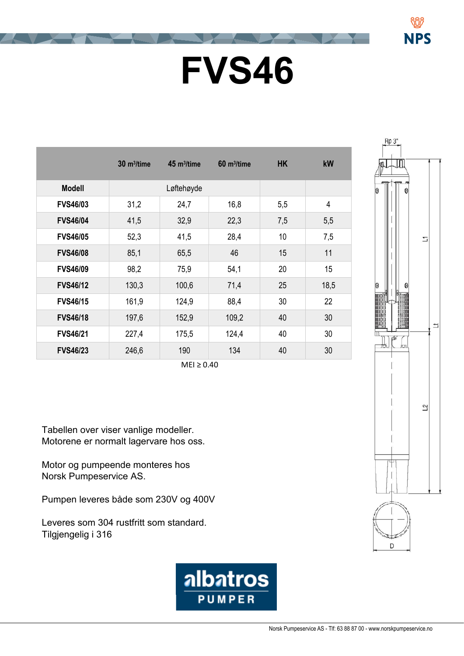## **FVS46**

|                 | $30 \text{ m}^3$ /time | 45 m <sup>3</sup> /time | $60 m^3$ /time | <b>HK</b> | kW             |
|-----------------|------------------------|-------------------------|----------------|-----------|----------------|
| <b>Modell</b>   |                        | Løftehøyde              |                |           |                |
| <b>FVS46/03</b> | 31,2                   | 24,7                    | 16,8           | 5,5       | $\overline{4}$ |
| <b>FVS46/04</b> | 41,5                   | 32,9                    | 22,3           | 7,5       | 5,5            |
| <b>FVS46/05</b> | 52,3                   | 41,5                    | 28,4           | 10        | 7,5            |
| <b>FVS46/08</b> | 85,1                   | 65,5                    | 46             | 15        | 11             |
| <b>FVS46/09</b> | 98,2                   | 75,9                    | 54,1           | 20        | 15             |
| <b>FVS46/12</b> | 130,3                  | 100,6                   | 71,4           | 25        | 18,5           |
| <b>FVS46/15</b> | 161,9                  | 124,9                   | 88,4           | 30        | 22             |
| <b>FVS46/18</b> | 197,6                  | 152,9                   | 109,2          | 40        | 30             |
| <b>FVS46/21</b> | 227,4                  | 175,5                   | 124,4          | 40        | 30             |
| <b>FVS46/23</b> | 246,6                  | 190                     | 134            | 40        | 30             |

 $MEI \geq 0.40$ 

Tabellen over viser vanlige modeller. Motorene er normalt lagervare hos oss.

Motor og pumpeende monteres hos Norsk Pumpeservice AS.

Pumpen leveres både som 230V og 400V

Leveres som 304 rustfritt som standard. Tilgjengelig i 316





NPS